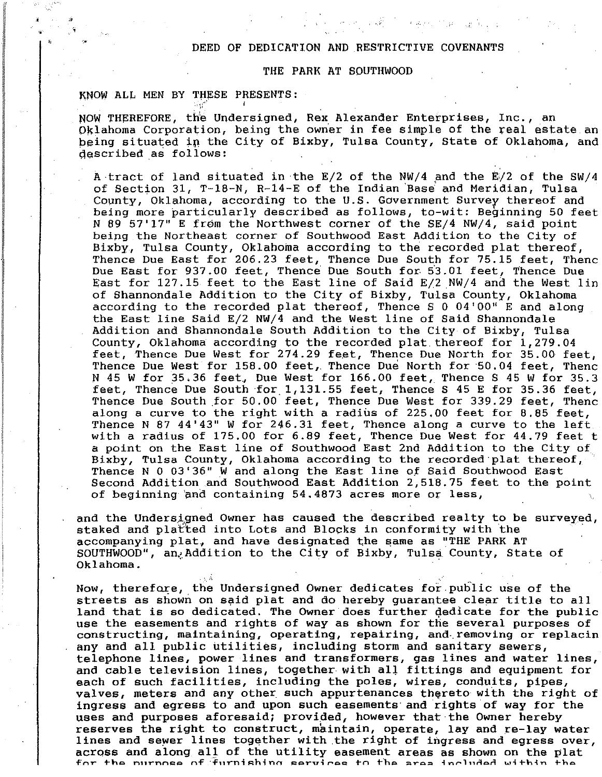## DEED OF DEDICATION AND RESTRICTIVE COVENANTS

 $\mathcal{L}=\mathcal{L}^{\prime}$  , and  $\mathcal{L}^{\prime}$ 

## THE PARK AT SOUTHWOOD

## KNOW ALL MEN BY THESE PRESENTS:

, i  $\mathbf{r}^{\prime}$  .

I • "

I **I** 

I

 $\label{eq:2} \begin{split} \mathcal{D}^{(1)}_{\mathcal{M}}&=\mathcal{D}^{(1)}_{\mathcal{M}}\mathcal{D}^{(1)}_{\mathcal{M}}\mathcal{D}^{(2)}_{\mathcal{M}}\mathcal{D}^{(3)}_{\mathcal{M}}\mathcal{D}^{(4)}_{\mathcal{M}}\mathcal{D}^{(5)}_{\mathcal{M}}\mathcal{D}^{(6)}_{\mathcal{M}}\mathcal{D}^{(6)}_{\mathcal{M}}\mathcal{D}^{(6)}_{\mathcal{M}}\mathcal{D}^{(6)}_{\mathcal{M}}\mathcal{D}^{(6)}_{\mathcal{M}}\mathcal$ 

I I I , i

 $\begin{array}{c} \bullet \\ \bullet \end{array}$ •

> NOW THEREFORE, the Undersigned, Rex Alexander Enterprises, Inc., an Oklahoma Corporation, being the owner in fee simple of the real estate an being situated in the City of Bixby, Tulsa County, State of Oklahoma, and described as follows:

A tract of land situated in the  $E/2$  of the NW/4 and the  $E/2$  of the SW/4 of Section 31, T-18-N, R-14-E of the Indian Base and Meridian, Tulsa County, Oklahoma, according to the U.S. Government Survey thereof and being more particularly described as follows, to-wit: Beginning 50 feet N 89 57'17" E from the Northwest corner of the SE/4 NW/4, said point being the Northeast corner of Southwood East Addition to the City of Bixby., Tulsa County, Oklahoma according to the recorded plat thereof, Thence Due East for 206.23 feet, Thence Due South for 75.15 feet, Thenc Due East for 937.00 feet, Thence Due South for 5'3.01 feet, Thence Due East for 127.15 feet to the East line of Said E/2 NW/4 and the West lin of Shannondale Addition to the City of Bixby, Tulsa County, Oklahoma according to the recorded plat thereof, Thence S 0 04'00" E and along the East line Said E/2 NW/4 and the West line of Said Shannondale Addition and Shannondale South Addition to the City of Bixby, Tulsa County, Oklahoma according to the recorded plat thereof for 1,279.04 feet, Thence Due West for 274.29 feet, Thence Due North for 35.00 feet, Thence Due West for 158.00 feet,. Thence Due North for '50.04 feet, Thenc N 45 W for 35.36 feet., Due West for 166.00 feet, Thence S 45 W for 35.3 feet, Thence Due South for. 1,131.55 feet, Thence S 45 E for 35.36 feet, Thence Due South for 50.00 feet, Thence Due West for 339.29 feet, Thenc along a curve to the right with a radius of 225.00 feet for 8.85 feet, Thence N 87 44'43" W for 246.31 feet, Thence along a curve to the left with a radius of 175.00 for 6.89 feet, Thence Due West for 44.79 feet t a point on the East line of Southwood East 2nd Addition to the City of Bixby, Tulsa County, Oklahoma according to the recorded plat thereof, Thence N 0 03'36" Wand along the East line Of Said Southwood East Second Addition and Southwood East Addition 2,518.75 feet to the point of beginning and containing  $54.4873$  acres more or less,

and the Undersigned Owner has caused the described realty to be surveyed, staked and platted into Lots and Blocks in conformity with the accompanying plat, and have designated the same as "THE PARK AT SOUTHWOOD", an. Addition to the City of Bixby, Tulsa County, State of Oklahoma.

Now, therefore, the Undersigned Owner dedicates for public use of the streets as shown on said plat and do hereby guarantee clear title to all land that is so dedicated. The Owner does further Qedicate for the public use the easements and rights of way as shown for the several purposes of constructing, maintaining, operating, repairing, and removing or replacin any and all public utilities, including storm and sanitary sewers, telephone lines, power lines and transformers, gas lines and water lines, and cable television lines, together with all fittings and equipment for each of such facilities, including the poles, wires, conduits, pipes, valves, meters and any other such appurtenances thereto with the right of ingress and egress to and upon such easements' and rights of way for the uses and purposes aforesaid; provided, however that the Owner hereby reserves the right to construct, maintain, operate, lay and re-lay water lines and sewer lines together with the right of ingress and egress over, across and along all of the utility easement areas as shown on the plat for the purnose of furnishing services to the area included within the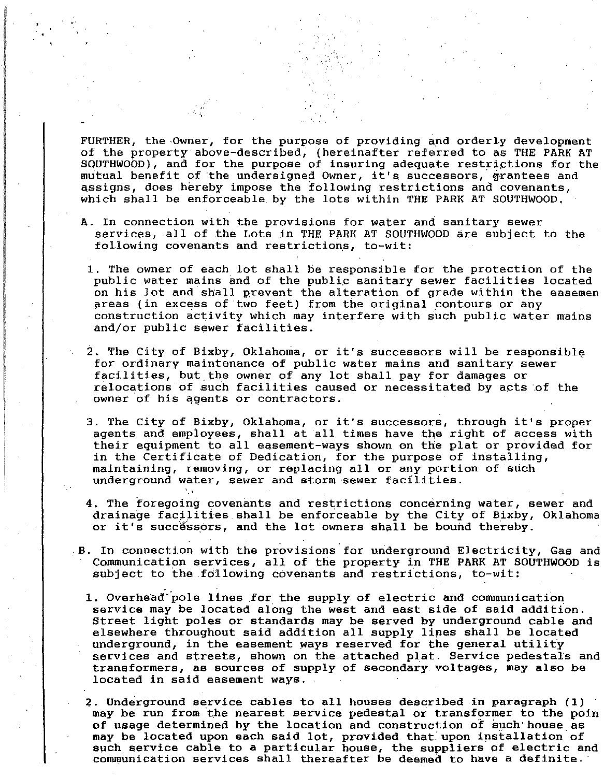FURTHER, the Owner, for the purpose of providing and orderly development of the property above-described, (hereinafter referred to as THE PARK AT SOUTHWOOD), and for the purpose of insuring adequate restrictions for the mutual benefit of the undersigned Owner, it's successors, grantees and assigns, does hereby impose the following restrictions and covenants, which shall be enforceable by the lots within THE PARK AT SOUTHWOOD.

,  $\sim$ 

','

**INSURANCE** 

- A. In connection with the provisions for water and sanitary sewer services, all of the Lots in THE PARK AT SOUTHWOOD are subject to the following covenants and restrictions, to-wit:
	- 1. The owner of each lot shall be responsible for the protection of the public water mains and of the publip sanitary sewer facilities located on his lot and shall prevent the alteration of grade within the easemen areas (in excess of two feet) from the original contours or any construction activity which may interfere with such public water mains and/or public sewer facilities.
- 2. The City of Bixby, Oklahoma, or it's successors will be responsible for ordinary maintenance of public water mains and sanitary sewer facilities, but,the owner of any lot shall pay for damages or relocations of such facilities caused or necessitated by acts of the owner of his qgents or contractors.
- 3. The City of Bixby, Oklahoma, or it's successors, through it's proper agents and employees, shall at all times have the right of access with their equipment to all easement-ways shown on the plat or provided for in the Certificate of Dedication, for the purpose of installing, maintaining, removing, or replacing all or any portion of such underground water, sewer and storm sewer facilities.
- 4. The foregoing covenants and restrictions concerning water, sewer and drainage facilities shall be enforceable by the City of Bixby, Oklahoma or it's successors, and the lot owners shall be bound thereby.
- B. In connection with the provisions for underground Electricity, Gas and Communication services, all of the property in THE PARK AT SOUTHWOOD is subject to the following covenants and restrictions, to-wit:
	- 1. Overhead pole lines for the supply of electric and communication service may be located along the west and east side of said addition. Street light poles or standards may be served by underground cable and elsewhere throughout said addition all supply lines shall be located underground, in the easement ways reserved for the general utility services and streets, shown on the attached plat. Service pedestals and transformers, as sources of supply of secondary, voltages, may also be located in said easement ways.
	- 2. Underground service cables to all houses described in paragraph  $(1)$ may be run from 'the nearest service pedestal or transformer to the poin of usage determined by the location and construction of such'house as may be located upon each said lot, provided that upon installation of such service cable to a particular houee, the suppliers of electric and communication services shall thereafter be deemed to have a definite. '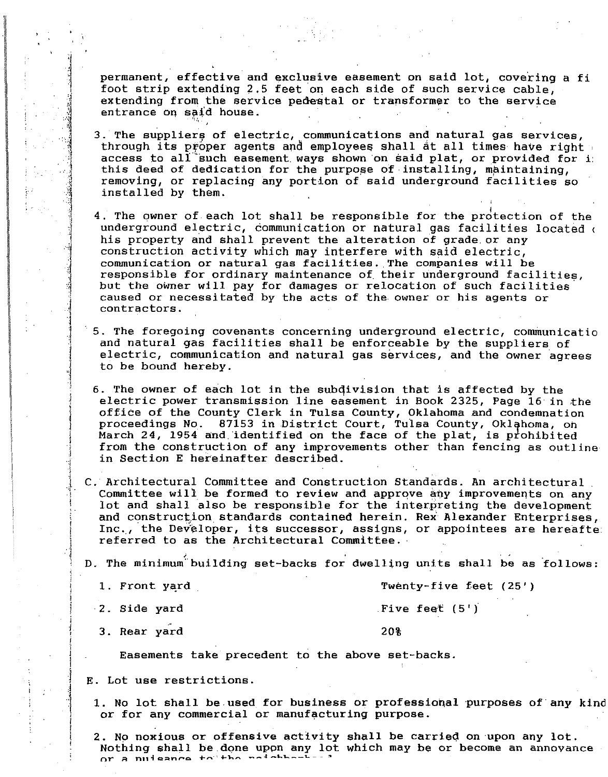permanent, effective and exclusive easement on said lot, covering a fi foot strip extending 2.5 feet on each side of such service cable, extending from the service pedestal or transformer to the service entrance on said house.

- 3. The suppliers of electric, communications and natural gas services, through its proper agents and employees shall at all times have right access to all such easement ways shown on said plat, or provided for i this deed of dedication for the purpose of installing, maintaining, removing, or replacing any portion of said underground facilities so installed by them.
- 4. The owner of each lot shall be responsible for the protection of the underground electric, communication or natural gas facilities located ( his property and shall prevent the alteration of grade or any construction activity which may interfere with said electric, communication or natural gas facilities. The companies will be responsible for ordinary maintenance of their underground facilities, but the owner will pay for damages or relocation of such facilities caused or necessitated by the acts of the owner or his agents or contractors.
- 5. The foregoing covenants concerning underground electric, communicatio and natural gas facilities shall be enforceable by the suppliers of electric, communication and natural gas services, and the owner agrees to be bound hereby.
- 6. The owner of each lot in the subdivision that is affected by the electric power transmission line easement in Book 2325, Page 16 in the office of the County Clerk in Tulsa County, Oklahoma and condemnation proceedings No. 87153 in District Court, Tulsa County, Oklahoma, on March 24, 1954 and identified on the face of the plat, is prohibited from the construction of any improvements other than fencing as outline in Section E hereinafter described.
- C. Architectural Committee and Construction Standards. An architectural Committee will be formed to review and approve any improvements on any lot and shall also be responsible for the interpreting the development and construction standards contained herein. Rex Alexander Enterprises, Inc., the Developer, its successor, assigns, or appointees are hereafte referred to as the Architectural Committee.
- D. The minimum building set-backs for dwelling units shall be as follows:
	- 1. Front yard

Twenty-five feet  $(25')$ 

Five feet (5')

20%

2. Side yard

3. Rear yard

Easements take precedent to the above set-backs.

- E. Lot use restrictions.
	- 1. No lot shall be used for business or professional purposes of any kin or for any commercial or manufacturing purpose.
	- 2. No noxious or offensive activity shall be carried on upon any lot. Nothing shall be done upon any lot which may be or become an annovance Of a nuisance to the neighbors-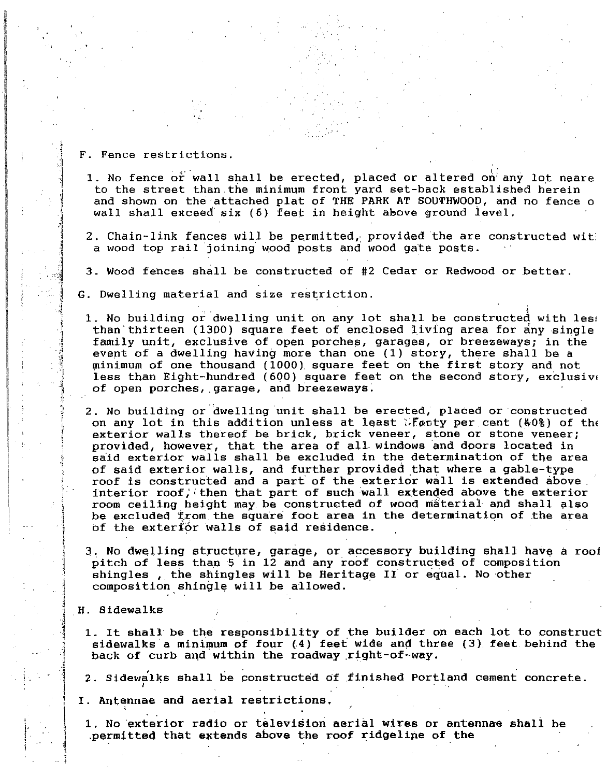F. Fence restrictions.

., "

I I ,

- 1. No fence or wall shall be erected, placed or altered on any lot neare to the street than the minimum front yard set-back established herein and shown on the attached plat of THE PARK AT SOUTHWOOD, and no fence o wall shall exceed'six (6) feet in height above ground ievel.
- 2. Chain-link fences will be permitted, provided the are constructed with a wood top rail joining wood posts and wood gate posts.
- 3. Wood fences shall be constructed of #2 Cedar or Redwood or better.
- G. Dwelling material and size restriction.
	- 1. No building or dwelling unit on any lot shall be constructed with les, than thirteen (1300) square feet of enclosed living area for any single family unit, exclusive of open porches, garages, or breezeways; in the event of a dwelling having more than one (1) story, there shall be a minimum of one thousand (1000) square feet on the first story and not less than Eight-hundred (600) square feet on the second story, exclusive of open porches, garage, and breezeways.
	- 2. No building or dwelling unit shall be erected, placed or constructed on any lot in this addition unless at least  $\mathbb{R}$  forty per cent (40%) of the exterior walls thereof be brick, brick veneer, stone or stone veneer; provided, however, that the area of all, windows and doors located in said exterior walls shall be excluded in the determination of the area of said exterior walls, and further provided that where a gable-type roof is constructed and a part' of the exterior wall is extended above. interior roof, then that part of such wall extended above the exterior room ceiling height may be constructed of wood material and shall also be excluded from the square foot area in the determination of the area of the exterior walls of said residence.
	- 3. No dwelling structure, garage, or accessory building shall have a roof pitch of less than '5 in 12 and any roof constructed of composition shingles, the shingles will be Heritage II or equal. No other composition shingle will be allowed.
- H. Sidewalks

 $\ddot{\phantom{a}}$ ,

.~ ~ , i

> 1  $\parallel$  $\big\}$ ,

l , j 1  $\cdot$  . .

. .

- 1. It shall be the responsibility of the builder on each lot to construct sidewalks'a minimum of four (.4) feet wide and three (3) feet behind the back of curb and within the roadway right-of-way.
- 2. Sidewalks shall be constructed of finished Portland cement concrete.
- $\begin{bmatrix} 1 \\ 1 \end{bmatrix}$ I. Antennae and aerial restrictions.
	- 1. No exterior radio or television aerial wires or antennae shall be .permitted that extends above the roof ridgelipe of the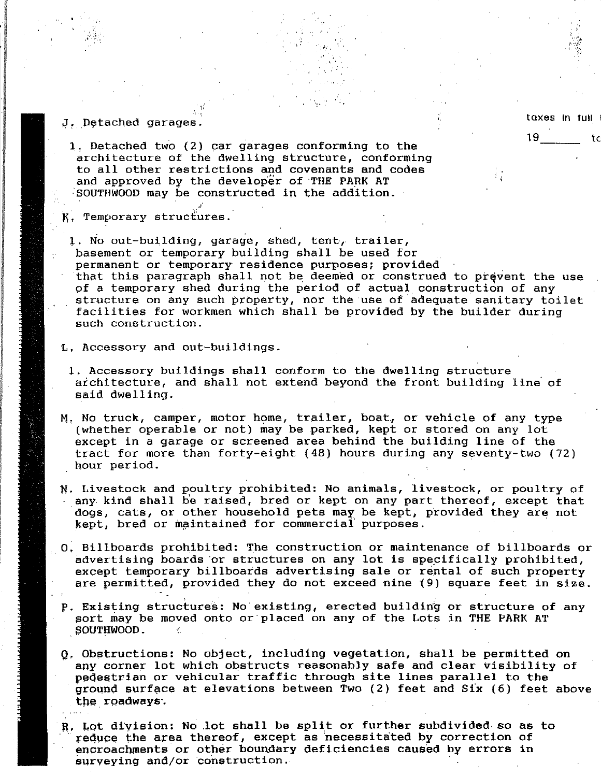## J. Detached garages.

- 1. Detached two  $(2)$  car garages conforming to the architecture of the dwelling structure, conforming to all other restrictions and covenants and codes and approved by the developer of THE PARK AT SOUTHWOOD may be constructed in the addition.
- K. Temporary structures.
- 1. No out-building, garage, shed, tent, trailer, basement or temporary building shall be used for permanent or temporary residence purposes; provided that this paragraph shall not be deemed or construed to prevent the use of a temporary shed during the period of actual construction of any structure on any such property, nor the use of adequate sanitary toilet facilities for workmen which shall be provided by the builder during such construction.

,  $\hat{\gamma}$  ,

,I,',

L. Accessory and out-buildings.

, '

|<br>|-<br>| | | | | | | | |

**,,,,,,,,,,,,,,,,,,,** 

Edward March Corp.<br>In 1972<br>In 1972 I , , i I I ,

- 1. Accessory buildings shall conform to the dwelling structure architecture, and shall not extend beyond the front building line' of said dwelling.
- M. No truck, camper, motor home, trailer, boat, or vehicle of any type (whether operable or not) may be parked, kept or stored on any lot except in a garage or screened area behind the building line of the tract for more than forty-eight (48) hours during any seventy-two (72) hour period,
- N. Livestock and poultry prohibited: No animals, livestock, or poultry of any kind shall be raised, bred or kept on any part thereof, except that dogs, cats, or other household pets may be kept, provided they are not kept, bred or maintained for commercial purposes.
- O. Billboards prohibited: The construction or maintenance of billboards or advertising boards or structures on any lot is specifically prohibited, except temporary billboards advertising sale or rental of such property are permitted, provided they do not exceed nine {9) square feet in size,
- p. Existing structures: No existing, erected building or structure of any sort may be moved onto or placed on any of the Lots in THE PARK AT SOUTHWOOD.
- Q. Obstructions: No object, including vegetation, shall be permitted on any corner lot which Obstructs reasonably safe and clear visibility of pedestrian or vehicular traffic through site lines parallel to the ground surface at elevations between Two (2) feet and Six (6) feet above the roadways.
- R. Lot division: No lot shall be split or further subdivided so as to reduce the area thereof, except as necessitated by correction of encroachments or other boundary deficiencies caused by errors in surveying and/or construction.

taxes in full

': I

19 tc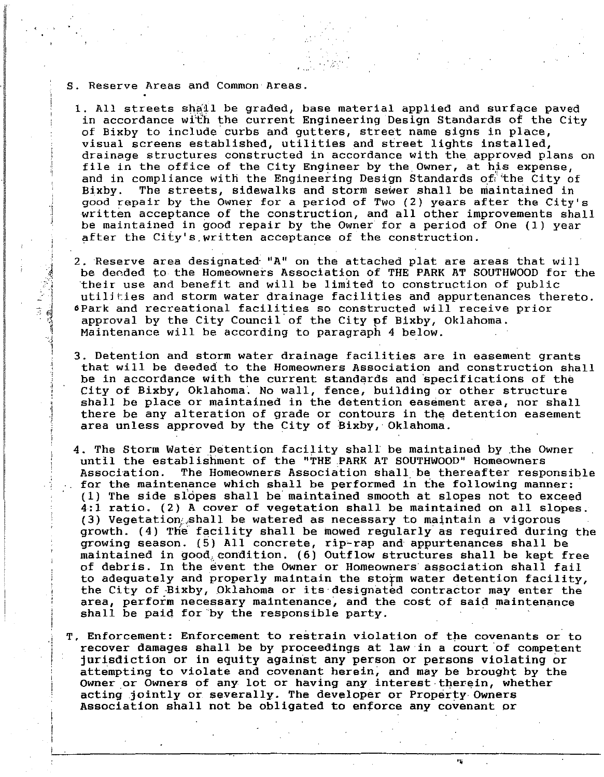S. Reserve Areas and Common Areas.

f I !

, .1

1. All streets shall be graded, base material applied and surface paved in accordance wi"t'h the current Engineering Design Standards of the City of Bixby to include curbs and gutters, street name signs in place, visual screens established, utilities and street lights installed, drainage structures constructed in accordance with the approved plans on file in the office of the City Engineer by the Owner, at his expense, and in compliance with the Engineering Design Standards of the City of Bixby. The streets, sidewalks and storm sewer shall be maintained in good repair by the Owner for a period of Two (2) years after the City's written acceptance of the construction, and all other improvements shall be maintained in good repair by the Owner for a period of One (1) year after the City's,written acceptance of the construction.

2. Reserve area designated "A" on the attached plat are areas that will be dended to the Homeowners Association of THE PARK AT SOUTHWOOD for the 'their use and benefit and will be limited to construction of public utilities and storm water drainage facilities and appurtenances thereto. CPark and recreational facilities so constructed will receive prior approval by the City Council'of the City pf Bixby, Oklahoma. Maintenance will be according to paragraph 4 below.

- 3. Detention and storm water drainage facilities are in easement grants that will be deeded to the Homeowners Association and construction shall be in accordance with the current standards and 'specifications of the City of Bixby, Oklahoma'. No wall, fence, building or other structure shall be place or maintained in the detention easement area, nor shall there be any alteration of grade or contours in the detention easement area unless approved by the City of Bixby, Oklahoma.
- 4. The Storm Water Detention facility shall be maintained by ,the Owner until the establishment of the "THE PARK AT SOUTHWOOD" Homeowners<br>Association. The Homeowners Association shall be thereafter respe The Homeowners Association shall be thereafter responsible for the maintenance which shall be performed in the following manner: . (1) The side slopes shall be'maintained smooth at slopes not to exceed 4:1 ratio. (2) A cover of vegetation shall be maintained on all slopes. (3) Vegetation:;shall be watered as necessary to maintain a vigorous growth. (4) The' facility shall be mowed regularly as required during the growing season. (5) All concrete, rip~rap and appurtenances shall be maintained in good, condition. (6) Outflow structures shall be kept free of debris. In the event the Owner or Homeowners association shall fail to adequately and properly maintain the storm water detention facility, the City of Bixby, Oklahoma or its designated contractor may enter the area, perform necessary maintenance, and the cost of said maintenance shall be paid for by the responsible party.
- T. Enforcement: Enforcement to restrain violation of the covenants or to recover damages shall be by proceedings at law in a court of competent jurisdiction or in equity against any person or persons violating or attempting to violate and covenant herein; and may be brought by the Owner or Owners of any lot or having any interest·therein, whether acting jointly or severally. The developer or Property Owners Association shall not be obligated to enforce any covenant or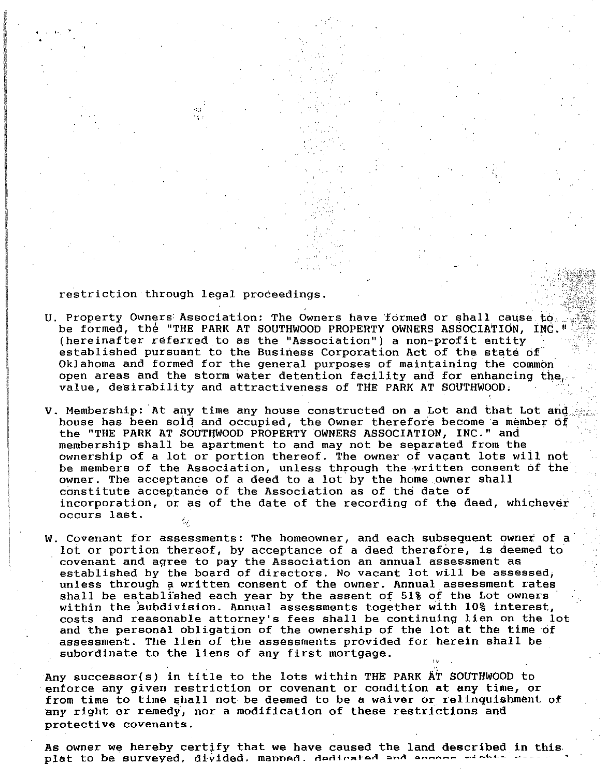restriction through legal proceedings.

. "',i 'I, '

I

 $\label{eq:2} \begin{split} \mathcal{D}(\mathcal{U},\mathcal{V},\mathcal{V})=\mathcal{D}(\mathcal{U},\mathcal{V})=\mathcal{D}(\mathcal{U},\mathcal{V})=\mathcal{D}(\mathcal{U},\mathcal{V})=\mathcal{D}(\mathcal{U},\mathcal{V})=\mathcal{D}(\mathcal{U},\mathcal{V})=\mathcal{D}(\mathcal{U},\mathcal{V})=\mathcal{D}(\mathcal{U},\mathcal{V})=\mathcal{D}(\mathcal{U},\mathcal{V})=\mathcal{D}(\mathcal{U},\mathcal{V})=\mathcal{D}(\mathcal{U},\mathcal{V})=\mathcal{$ 

I I a. International

- U. Property Owners Association: The Owners have formed or shall cause to ... be formed, the "THE PARK AT SOUTHWOOD PROPERTY OWNERS ASSOCIATION, INC." (hereinafter referred to as the "Association") a non-profit entity established pursuant to the Business Corporation Act of the state of Oklahoma and formed for the general purposes of maintaining the common open areas and the storm water detention facility and for enhancing the, value, desirability and attractiveness of TIlE PARK AT SOUTHWOOD,
- V. Membership: At any time any house constructed on a Lot and that Lot and house has been soid and occupied, the Owner therefore become a member of the "THE PARK AT SOUTijWOOD PROPERTY OWNERS ASSOCIATION, INC." and membership shall be apartment to and may not be separated from the ownership of a lot or portion thereof. The owner of vacant lots will not be members of the Association, unless through the written consent of the owner. The acceptance of a deed to a lot by the home.owner shall constitute acceptance of the Association as of the date of incorporation, or as of the date of the recording of the deed, whichever incorporation, or as of the date of the recording of the deed, whichever
- W. Covenant for assessments: The homeowner, and each subsequent owner of a lot or portion thereof, by acceptance of a deed therefore, is deemed to covenant and agree to pay the Association an annual assessment as established by the board of directors. No vacant lot will be assessed; unless through a written consent of the owner. Annual assessment rates shall be established each year by the assent of 51% of the Lot owners' within the subdivision. Annual assessments together with 10% interest, costs and reasonable attorney's fees shall be continuing lien on the lot and the personal obligation of the ownership of the lot at the time of assessment. The lieh of the assessments provided for herein shall be subordinate to the liens of any first mortgage.

Any successor(s) in title to the lots within THE PARK AT SOUTHWOOD to enforce any given restriction or covenant or condition at any time, or from time to time shall not be deemed to be a waiver or relinquishment of any right or remedy, nor a modification of these restrictions and protective covenants.

As owner we hereby certify that we have caused the land described in this plat to be surveyed, divided. manned. dedicated and acco